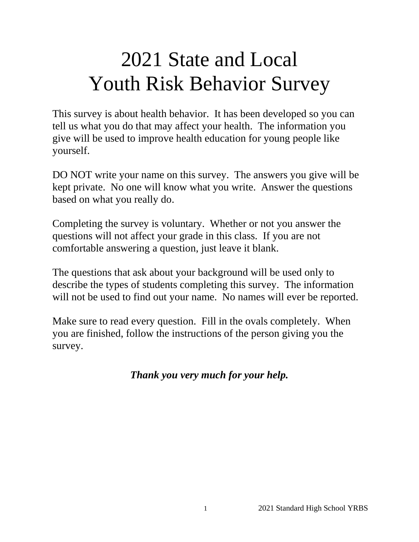# 2021 State and Local Youth Risk Behavior Survey

This survey is about health behavior. It has been developed so you can tell us what you do that may affect your health. The information you give will be used to improve health education for young people like yourself.

DO NOT write your name on this survey. The answers you give will be kept private. No one will know what you write. Answer the questions based on what you really do.

Completing the survey is voluntary. Whether or not you answer the questions will not affect your grade in this class. If you are not comfortable answering a question, just leave it blank.

The questions that ask about your background will be used only to describe the types of students completing this survey. The information will not be used to find out your name. No names will ever be reported.

Make sure to read every question. Fill in the ovals completely. When you are finished, follow the instructions of the person giving you the survey.

*Thank you very much for your help.*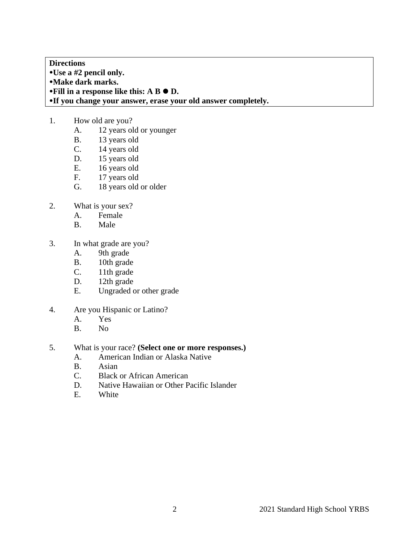**Directions Use a #2 pencil only. Make dark marks. •Fill in a response like this: A B**  $\bullet$  **D. If you change your answer, erase your old answer completely.**

- 1. How old are you?
	- A. 12 years old or younger
	- B. 13 years old
	- C. 14 years old
	- D. 15 years old
	- E. 16 years old<br>F. 17 years old
	- 17 years old
	- G. 18 years old or older
- 2. What is your sex?
	- A. Female
	- B. Male
- 3. In what grade are you?
	- A. 9th grade
	- B. 10th grade
	- C. 11th grade
	- D. 12th grade<br>E. Ungraded c
	- Ungraded or other grade
- 4. Are you Hispanic or Latino?
	- A. Yes
	- B. No
- 5. What is your race? **(Select one or more responses.)**
	- A. American Indian or Alaska Native
	- B. Asian
	- C. Black or African American
	- D. Native Hawaiian or Other Pacific Islander
	- E. White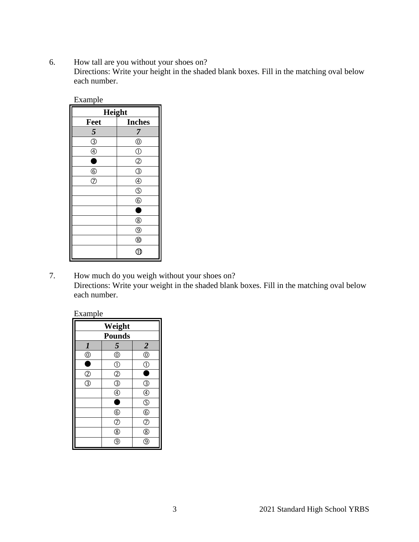6. How tall are you without your shoes on? Directions: Write your height in the shaded blank boxes. Fill in the matching oval below each number.

| Example        |                |  |
|----------------|----------------|--|
| Height         |                |  |
| Feet           | <b>Inches</b>  |  |
| 5              | 7              |  |
| $\circledS$    | $^{\circledR}$ |  |
| $\circledA$    | $\circled{0}$  |  |
| ٦              | $\circled{2}$  |  |
| $^{\circledR}$ | $\circledS$    |  |
| $\circledR$    | $\circledA$    |  |
|                | $\circledS$    |  |
|                | $\circledS$    |  |
|                | п              |  |
|                | $^{\circledR}$ |  |
|                | $^{\circledR}$ |  |
|                |                |  |
|                | ∈              |  |

7. How much do you weigh without your shoes on? Directions: Write your weight in the shaded blank boxes. Fill in the matching oval below each number.

| ∹xamnle |
|---------|
|---------|

| Weight                                    |                    |                                     |
|-------------------------------------------|--------------------|-------------------------------------|
| <b>Pounds</b>                             |                    |                                     |
| $\boldsymbol{l}$                          | 5                  |                                     |
| $\overline{\circ}$                        | $\overline{\circ}$ | $\frac{2}{0}$                       |
| Ē                                         | $\circled{0}$      | $\overline{\underline{\mathbb{Q}}}$ |
|                                           | $\overline{O}$     | Ō                                   |
| $\frac{\textcircled{2}}{\textcircled{3}}$ | ③                  | $\circledS$                         |
|                                           | $^{\circledR}$     | $\overline{\Phi}$                   |
|                                           | £                  | $\overline{\mathbb{G}}$             |
|                                           | $\circledast$      | $\overline{6}$                      |
|                                           | $\overline{C}$     | $\overline{c}$                      |
|                                           | $^{\circledR}$     | $\overline{\circledast}$            |
|                                           | g                  | g                                   |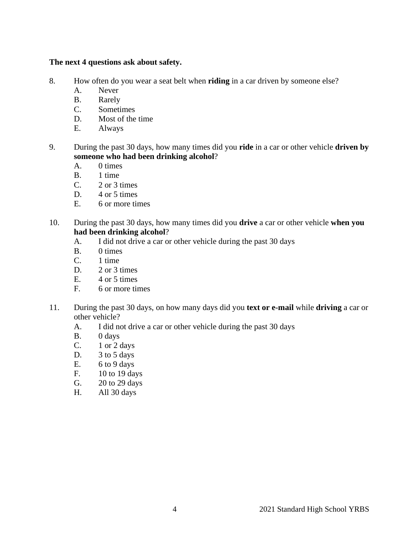# **The next 4 questions ask about safety.**

- 8. How often do you wear a seat belt when **riding** in a car driven by someone else?
	- A. Never
	- B. Rarely
	- C. Sometimes
	- D. Most of the time
	- E. Always
- 9. During the past 30 days, how many times did you **ride** in a car or other vehicle **driven by someone who had been drinking alcohol**?
	- A. 0 times
	- B. 1 time
	- $C. 2$  or 3 times
	- D. 4 or 5 times
	- E. 6 or more times
- 10. During the past 30 days, how many times did you **drive** a car or other vehicle **when you had been drinking alcohol**?
	- A. I did not drive a car or other vehicle during the past 30 days
	- B. 0 times
	- C. 1 time
	- D. 2 or 3 times
	- $E.$  4 or 5 times
	- F. 6 or more times
- 11. During the past 30 days, on how many days did you **text or e-mail** while **driving** a car or other vehicle?
	- A. I did not drive a car or other vehicle during the past 30 days
	- B. 0 days
	- C. 1 or 2 days
	- D. 3 to 5 days
	- E. 6 to 9 days
	- F. 10 to 19 days
	- G. 20 to 29 days
	- H. All 30 days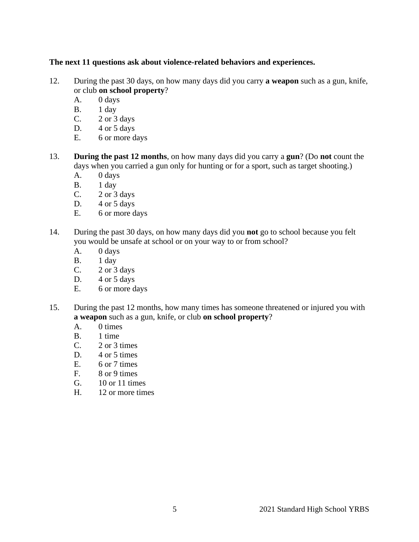# **The next 11 questions ask about violence-related behaviors and experiences.**

- 12. During the past 30 days, on how many days did you carry **a weapon** such as a gun, knife, or club **on school property**?
	- A. 0 days
	- B. 1 day
	- C. 2 or 3 days
	- D.  $4 \text{ or } 5 \text{ days}$ <br>E. 6 or more d
	- 6 or more days
- 13. **During the past 12 months**, on how many days did you carry a **gun**? (Do **not** count the days when you carried a gun only for hunting or for a sport, such as target shooting.)
	- A. 0 days
	- B. 1 day
	- C.  $2 \text{ or } 3 \text{ days}$
	- D. 4 or 5 days
	- E. 6 or more days
- 14. During the past 30 days, on how many days did you **not** go to school because you felt you would be unsafe at school or on your way to or from school?
	- A. 0 days
	- B. 1 day
	- C. 2 or 3 days
	- D.  $4$  or  $5$  days
	- E. 6 or more days
- 15. During the past 12 months, how many times has someone threatened or injured you with **a weapon** such as a gun, knife, or club **on school property**?
	- A. 0 times<br>B. 1 time
	- 1 time
	- $C. 2$  or 3 times
	- D. 4 or 5 times
	- E. 6 or 7 times
	- F. 8 or 9 times
	- G. 10 or 11 times
	- H. 12 or more times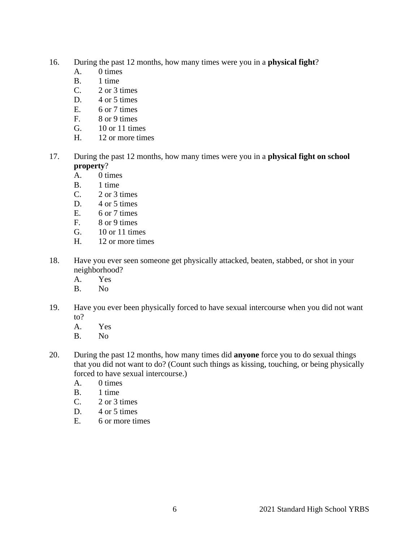- 16. During the past 12 months, how many times were you in a **physical fight**?
	- A. 0 times
	- B. 1 time
	- C. 2 or 3 times
	- D.  $4$  or 5 times
	- E. 6 or 7 times
	- F. 8 or 9 times
	- G. 10 or 11 times
	- H. 12 or more times
- 17. During the past 12 months, how many times were you in a **physical fight on school property**?
	- A. 0 times
	- B. 1 time
	- C. 2 or 3 times
	- D. 4 or 5 times
	- E. 6 or 7 times
	- F. 8 or 9 times
	- G. 10 or 11 times
	- H. 12 or more times
- 18. Have you ever seen someone get physically attacked, beaten, stabbed, or shot in your neighborhood?
	- A. Yes
	- B. No
- 19. Have you ever been physically forced to have sexual intercourse when you did not want to?
	- A. Yes<br>B. No
	- N<sub>o</sub>
- 20. During the past 12 months, how many times did **anyone** force you to do sexual things that you did not want to do? (Count such things as kissing, touching, or being physically forced to have sexual intercourse.)
	- A. 0 times
	- B. 1 time
	- $C. 2$  or 3 times
	- D.  $4$  or 5 times
	- E. 6 or more times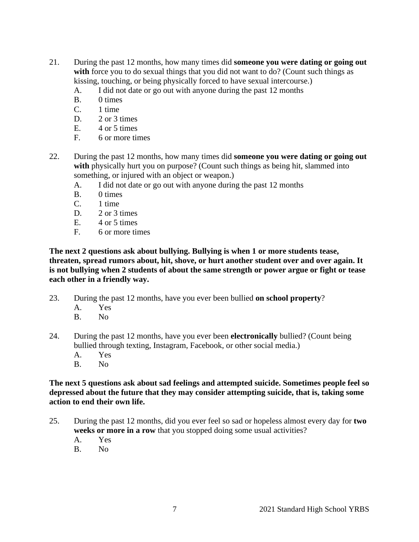- 21. During the past 12 months, how many times did **someone you were dating or going out**  with force you to do sexual things that you did not want to do? (Count such things as kissing, touching, or being physically forced to have sexual intercourse.)
	- A. I did not date or go out with anyone during the past 12 months
	- B. 0 times
	- C. 1 time
	- D. 2 or 3 times
	- E.  $4$  or 5 times
	- F. 6 or more times
- 22. During the past 12 months, how many times did **someone you were dating or going out**  with physically hurt you on purpose? (Count such things as being hit, slammed into something, or injured with an object or weapon.)
	- A. I did not date or go out with anyone during the past 12 months
	- B. 0 times
	- C. 1 time
	- D. 2 or 3 times
	- $E. 4$  or 5 times
	- F. 6 or more times

**The next 2 questions ask about bullying. Bullying is when 1 or more students tease, threaten, spread rumors about, hit, shove, or hurt another student over and over again. It is not bullying when 2 students of about the same strength or power argue or fight or tease each other in a friendly way.**

- 23. During the past 12 months, have you ever been bullied **on school property**?
	- A. Yes
	- B. No
- 24. During the past 12 months, have you ever been **electronically** bullied? (Count being bullied through texting, Instagram, Facebook, or other social media.)
	- A. Yes
	- B. No

**The next 5 questions ask about sad feelings and attempted suicide. Sometimes people feel so depressed about the future that they may consider attempting suicide, that is, taking some action to end their own life.**

- 25. During the past 12 months, did you ever feel so sad or hopeless almost every day for **two weeks or more in a row** that you stopped doing some usual activities?
	- A. Yes
	- B. No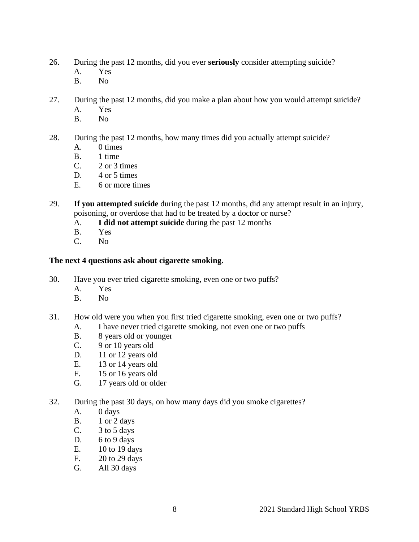- 26. During the past 12 months, did you ever **seriously** consider attempting suicide?
	- A. Yes
	- B. No
- 27. During the past 12 months, did you make a plan about how you would attempt suicide?
	- A. Yes
	- B. No
- 28. During the past 12 months, how many times did you actually attempt suicide?
	- A. 0 times
	- B. 1 time
	- $C.$  2 or 3 times
	- D.  $4$  or 5 times
	- E. 6 or more times
- 29. **If you attempted suicide** during the past 12 months, did any attempt result in an injury, poisoning, or overdose that had to be treated by a doctor or nurse?
	- A. **I did not attempt suicide** during the past 12 months
	- B. Yes<br>C. No
	- N<sub>o</sub>

# **The next 4 questions ask about cigarette smoking.**

- 30. Have you ever tried cigarette smoking, even one or two puffs?
	- A. Yes
	- B. No
- 31. How old were you when you first tried cigarette smoking, even one or two puffs?
	- A. I have never tried cigarette smoking, not even one or two puffs
	- B. 8 years old or younger
	- C. 9 or 10 years old
	- D. 11 or 12 years old
	- E. 13 or 14 years old
	- F. 15 or 16 years old
	- G. 17 years old or older
- 32. During the past 30 days, on how many days did you smoke cigarettes?
	- A. 0 days
	- B. 1 or 2 days
	- C. 3 to 5 days
	- D. 6 to 9 days
	- E. 10 to 19 days
	- F. 20 to 29 days
	- G. All 30 days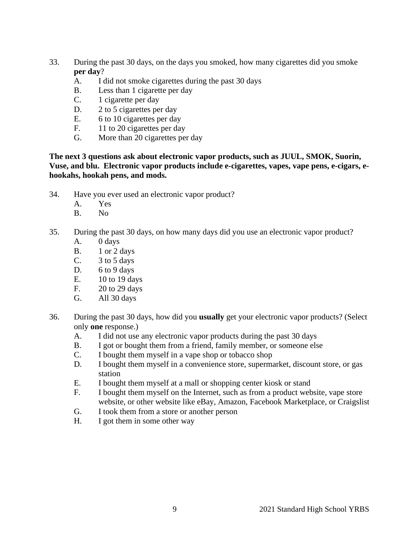- 33. During the past 30 days, on the days you smoked, how many cigarettes did you smoke **per day**?
	- A. I did not smoke cigarettes during the past 30 days
	- B. Less than 1 cigarette per day
	- C. 1 cigarette per day
	- D. 2 to 5 cigarettes per day
	- E. 6 to 10 cigarettes per day
	- F. 11 to 20 cigarettes per day
	- G. More than 20 cigarettes per day

**The next 3 questions ask about electronic vapor products, such as JUUL, SMOK, Suorin, Vuse, and blu. Electronic vapor products include e-cigarettes, vapes, vape pens, e-cigars, ehookahs, hookah pens, and mods.** 

- 34. Have you ever used an electronic vapor product?
	- A. Yes
	- B. No
- 35. During the past 30 days, on how many days did you use an electronic vapor product?
	- A. 0 days
	- B. 1 or 2 days
	- C. 3 to 5 days
	- D. 6 to 9 days
	- E. 10 to 19 days
	- F. 20 to 29 days
	- G. All 30 days
- 36. During the past 30 days, how did you **usually** get your electronic vapor products? (Select only **one** response.)
	- A. I did not use any electronic vapor products during the past 30 days
	- B. I got or bought them from a friend, family member, or someone else
	- C. I bought them myself in a vape shop or tobacco shop
	- D. I bought them myself in a convenience store, supermarket, discount store, or gas station
	- E. I bought them myself at a mall or shopping center kiosk or stand
	- F. I bought them myself on the Internet, such as from a product website, vape store website, or other website like eBay, Amazon, Facebook Marketplace, or Craigslist
	- G. I took them from a store or another person
	- H. I got them in some other way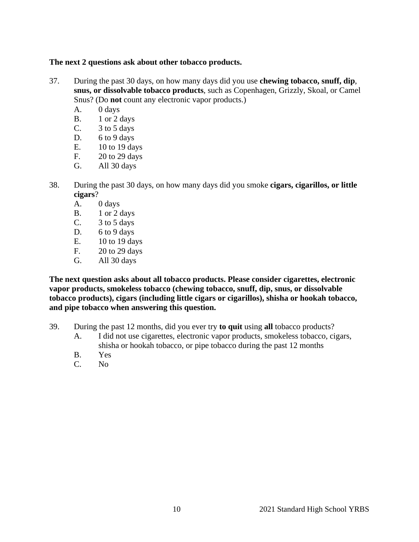# **The next 2 questions ask about other tobacco products.**

- 37. During the past 30 days, on how many days did you use **chewing tobacco, snuff, dip**, **snus, or dissolvable tobacco products**, such as Copenhagen, Grizzly, Skoal, or Camel Snus? (Do **not** count any electronic vapor products.)
	- A. 0 days
	- B. 1 or 2 days
	- C.  $3 \text{ to } 5 \text{ days}$
	- D. 6 to 9 days
	- E. 10 to 19 days
	- F. 20 to 29 days
	- G. All 30 days
- 38. During the past 30 days, on how many days did you smoke **cigars, cigarillos, or little cigars**?
	- A. 0 days
	- B. 1 or 2 days
	- C.  $3 \text{ to } 5 \text{ days}$
	- D. 6 to 9 days
	- E. 10 to 19 days
	- F. 20 to 29 days
	- G. All 30 days

**The next question asks about all tobacco products. Please consider cigarettes, electronic vapor products, smokeless tobacco (chewing tobacco, snuff, dip, snus, or dissolvable tobacco products), cigars (including little cigars or cigarillos), shisha or hookah tobacco, and pipe tobacco when answering this question.**

- 39. During the past 12 months, did you ever try **to quit** using **all** tobacco products?
	- A. I did not use cigarettes, electronic vapor products, smokeless tobacco, cigars, shisha or hookah tobacco, or pipe tobacco during the past 12 months
	- B. Yes
	- C. No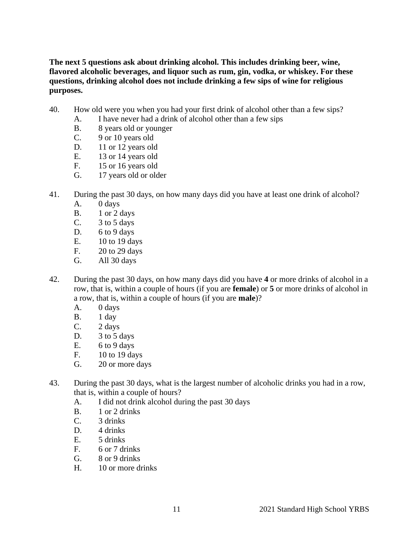**The next 5 questions ask about drinking alcohol. This includes drinking beer, wine, flavored alcoholic beverages, and liquor such as rum, gin, vodka, or whiskey. For these questions, drinking alcohol does not include drinking a few sips of wine for religious purposes.**

- 40. How old were you when you had your first drink of alcohol other than a few sips?
	- A. I have never had a drink of alcohol other than a few sips
	- B. 8 years old or younger
	- C. 9 or 10 years old
	- D. 11 or 12 years old
	- E. 13 or 14 years old
	- F. 15 or 16 years old
	- G. 17 years old or older
- 41. During the past 30 days, on how many days did you have at least one drink of alcohol?
	- A. 0 days
	- B. 1 or 2 days
	- C. 3 to 5 days
	- D. 6 to 9 days
	- E. 10 to 19 days
	- F. 20 to 29 days
	- G. All 30 days
- 42. During the past 30 days, on how many days did you have **4** or more drinks of alcohol in a row, that is, within a couple of hours (if you are **female**) or **5** or more drinks of alcohol in a row, that is, within a couple of hours (if you are **male**)?
	- A. 0 days
	- B. 1 day
	- C. 2 days
	- D. 3 to 5 days
	- E.  $6 to 9 days$
	- F. 10 to 19 days
	- G. 20 or more days
- 43. During the past 30 days, what is the largest number of alcoholic drinks you had in a row, that is, within a couple of hours?
	- A. I did not drink alcohol during the past 30 days
	- B. 1 or 2 drinks
	- C. 3 drinks
	- D. 4 drinks
	- E. 5 drinks
	- F. 6 or 7 drinks
	- G. 8 or 9 drinks
	- H. 10 or more drinks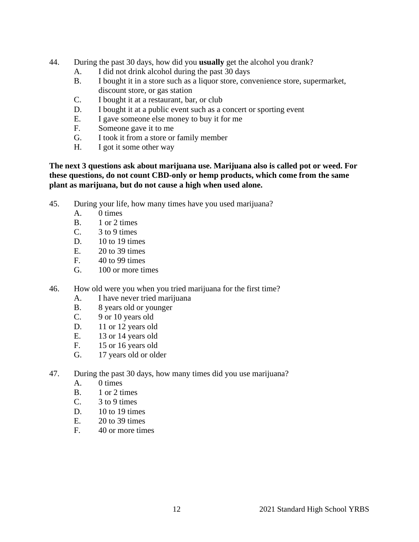- 44. During the past 30 days, how did you **usually** get the alcohol you drank?
	- A. I did not drink alcohol during the past 30 days
	- B. I bought it in a store such as a liquor store, convenience store, supermarket, discount store, or gas station
	- C. I bought it at a restaurant, bar, or club
	- D. I bought it at a public event such as a concert or sporting event
	- E. I gave someone else money to buy it for me
	- F. Someone gave it to me
	- G. I took it from a store or family member
	- H. I got it some other way

# **The next 3 questions ask about marijuana use. Marijuana also is called pot or weed. For these questions, do not count CBD-only or hemp products, which come from the same plant as marijuana, but do not cause a high when used alone.**

- 45. During your life, how many times have you used marijuana?
	- A. 0 times
	- B. 1 or 2 times
	- C. 3 to 9 times
	- D. 10 to 19 times
	- E. 20 to 39 times
	- F. 40 to 99 times
	- G. 100 or more times
- 46. How old were you when you tried marijuana for the first time?
	- A. I have never tried marijuana
	- B. 8 years old or younger
	- C. 9 or 10 years old
	-
	- D. 11 or 12 years old<br>E. 13 or 14 years old 13 or 14 years old
	- F. 15 or 16 years old
	- G. 17 years old or older
- 47. During the past 30 days, how many times did you use marijuana?
	- A. 0 times
	- B. 1 or 2 times
	- C. 3 to 9 times
	- D. 10 to 19 times
	- E. 20 to 39 times
	- F. 40 or more times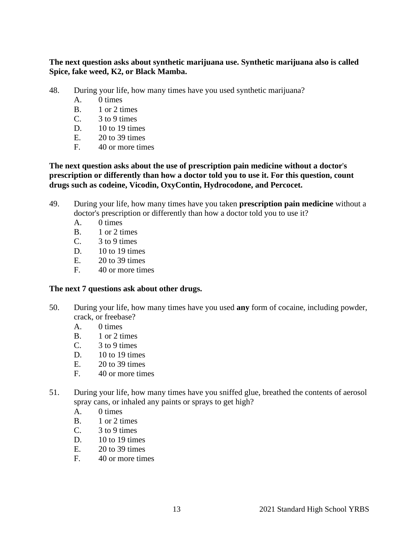**The next question asks about synthetic marijuana use. Synthetic marijuana also is called Spice, fake weed, K2, or Black Mamba.**

- 48. During your life, how many times have you used synthetic marijuana?
	- A. 0 times
	- B. 1 or 2 times
	- $C.$  3 to 9 times
	- D.  $10$  to 19 times
	- $E = 20$  to 39 times
	- F. 40 or more times

**The next question asks about the use of prescription pain medicine without a doctor**'**s prescription or differently than how a doctor told you to use it. For this question, count drugs such as codeine, Vicodin, OxyContin, Hydrocodone, and Percocet.**

- 49. During your life, how many times have you taken **prescription pain medicine** without a doctor's prescription or differently than how a doctor told you to use it?
	- A. 0 times
	- B. 1 or 2 times
	- $C.$  3 to 9 times
	- D. 10 to 19 times
	- E. 20 to 39 times
	- F. 40 or more times

#### **The next 7 questions ask about other drugs.**

- 50. During your life, how many times have you used **any** form of cocaine, including powder, crack, or freebase?
	- A. 0 times
	- B. 1 or 2 times
	- $C.$  3 to 9 times
	- D. 10 to 19 times
	- E. 20 to 39 times
	- F. 40 or more times
- 51. During your life, how many times have you sniffed glue, breathed the contents of aerosol spray cans, or inhaled any paints or sprays to get high?
	- A. 0 times
	- B. 1 or 2 times
	- $C.$  3 to 9 times
	- D. 10 to 19 times
	- E. 20 to 39 times
	- F. 40 or more times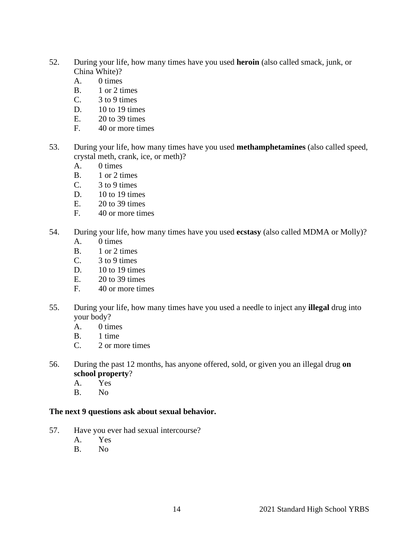- 52. During your life, how many times have you used **heroin** (also called smack, junk, or China White)?
	- A. 0 times
	- B. 1 or 2 times
	- $C.$  3 to 9 times
	- D. 10 to 19 times
	- E. 20 to 39 times
	- F. 40 or more times
- 53. During your life, how many times have you used **methamphetamines** (also called speed, crystal meth, crank, ice, or meth)?
	- A. 0 times
	- B. 1 or 2 times
	- $C.$  3 to 9 times
	- D. 10 to 19 times
	- E. 20 to 39 times
	- F. 40 or more times
- 54. During your life, how many times have you used **ecstasy** (also called MDMA or Molly)?
	- A. 0 times
	- B. 1 or 2 times
	- C.  $3 \text{ to } 9 \text{ times}$
	- $D.$  10 to 19 times
	- E. 20 to 39 times
	- F. 40 or more times
- 55. During your life, how many times have you used a needle to inject any **illegal** drug into your body?
	- A. 0 times<br>B. 1 time
	- 1 time
	- C. 2 or more times
- 56. During the past 12 months, has anyone offered, sold, or given you an illegal drug **on school property**?
	- A. Yes
	- B. No

#### **The next 9 questions ask about sexual behavior.**

- 57. Have you ever had sexual intercourse?
	- A. Yes
	- B. No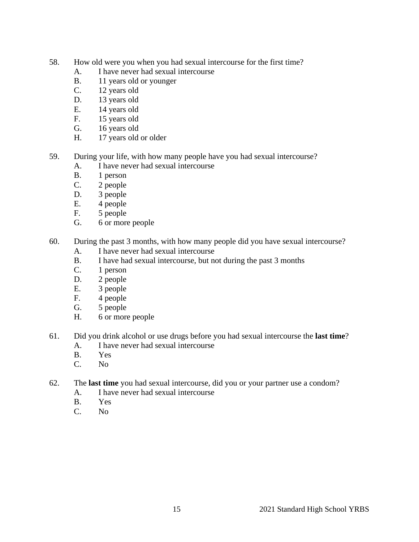- 58. How old were you when you had sexual intercourse for the first time?
	- A. I have never had sexual intercourse
	- B. 11 years old or younger
	- C. 12 years old
	- D. 13 years old
	- E. 14 years old
	- F. 15 years old
	- G. 16 years old
	- H. 17 years old or older
- 59. During your life, with how many people have you had sexual intercourse?
	- A. I have never had sexual intercourse
	- B. 1 person
	- C. 2 people
	- D. 3 people
	- E. 4 people
	- F. 5 people
	- G. 6 or more people
- 60. During the past 3 months, with how many people did you have sexual intercourse?
	- A. I have never had sexual intercourse
	- B. I have had sexual intercourse, but not during the past 3 months
	- C. 1 person
	- D. 2 people
	- E. 3 people
	- F. 4 people
	- G. 5 people
	- H. 6 or more people
- 61. Did you drink alcohol or use drugs before you had sexual intercourse the **last time**?
	- A. I have never had sexual intercourse
	- B. Yes
	- C. No
- 62. The **last time** you had sexual intercourse, did you or your partner use a condom?
	- A. I have never had sexual intercourse
	- B. Yes<br>C. No.
	- N<sub>0</sub>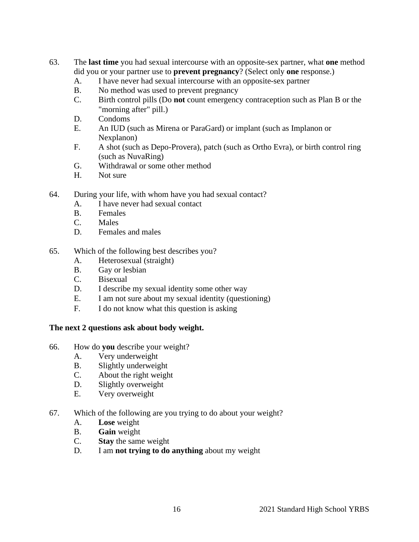- 63. The **last time** you had sexual intercourse with an opposite-sex partner, what **one** method did you or your partner use to **prevent pregnancy**? (Select only **one** response.)
	- A. I have never had sexual intercourse with an opposite-sex partner
	- B. No method was used to prevent pregnancy
	- C. Birth control pills (Do **not** count emergency contraception such as Plan B or the "morning after" pill.)
	- D. Condoms
	- E. An IUD (such as Mirena or ParaGard) or implant (such as Implanon or Nexplanon)
	- F. A shot (such as Depo-Provera), patch (such as Ortho Evra), or birth control ring (such as NuvaRing)
	- G. Withdrawal or some other method
	- H. Not sure
- 64. During your life, with whom have you had sexual contact?
	- A. I have never had sexual contact
	- B. Females
	- C. Males
	- D. Females and males
- 65. Which of the following best describes you?
	- A. Heterosexual (straight)
	- B. Gay or lesbian
	- C. Bisexual
	- D. I describe my sexual identity some other way
	- E. I am not sure about my sexual identity (questioning)
	- F. I do not know what this question is asking

# **The next 2 questions ask about body weight.**

- 66. How do **you** describe your weight?
	- A. Very underweight
	- B. Slightly underweight
	- C. About the right weight
	- D. Slightly overweight
	- E. Very overweight
- 67. Which of the following are you trying to do about your weight?
	- A. **Lose** weight
	- B. **Gain** weight
	- C. **Stay** the same weight
	- D. I am **not trying to do anything** about my weight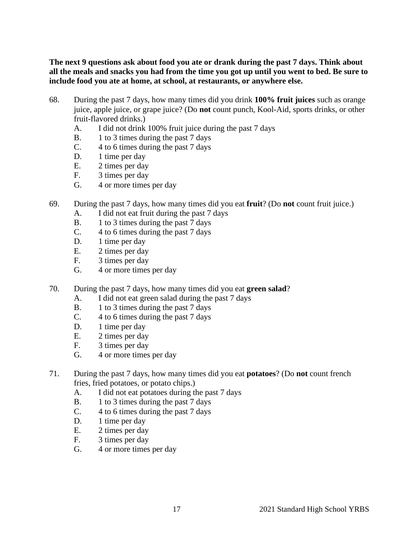**The next 9 questions ask about food you ate or drank during the past 7 days. Think about all the meals and snacks you had from the time you got up until you went to bed. Be sure to include food you ate at home, at school, at restaurants, or anywhere else.**

- 68. During the past 7 days, how many times did you drink **100% fruit juices** such as orange juice, apple juice, or grape juice? (Do **not** count punch, Kool-Aid, sports drinks, or other fruit-flavored drinks.)
	- A. I did not drink 100% fruit juice during the past 7 days
	- B. 1 to 3 times during the past 7 days
	- C. 4 to 6 times during the past 7 days
	- D. 1 time per day
	- E. 2 times per day
	- F. 3 times per day
	- G. 4 or more times per day
- 69. During the past 7 days, how many times did you eat **fruit**? (Do **not** count fruit juice.)
	- A. I did not eat fruit during the past 7 days
	- B. 1 to 3 times during the past 7 days
	- C. 4 to 6 times during the past 7 days
	- D. 1 time per day
	- E. 2 times per day
	- F. 3 times per day
	- G. 4 or more times per day
- 70. During the past 7 days, how many times did you eat **green salad**?
	- A. I did not eat green salad during the past 7 days
	- B. 1 to 3 times during the past 7 days
	- C. 4 to 6 times during the past 7 days
	- D. 1 time per day<br>E. 2 times per day
	- 2 times per day
	- F. 3 times per day
	- G. 4 or more times per day
- 71. During the past 7 days, how many times did you eat **potatoes**? (Do **not** count french fries, fried potatoes, or potato chips.)
	- A. I did not eat potatoes during the past 7 days
	- B. 1 to 3 times during the past 7 days
	- C. 4 to 6 times during the past 7 days
	- D. 1 time per day
	- E. 2 times per day
	- F. 3 times per day
	- G. 4 or more times per day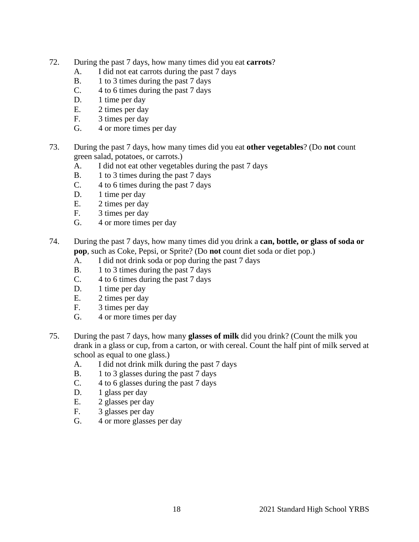- 72. During the past 7 days, how many times did you eat **carrots**?
	- A. I did not eat carrots during the past 7 days
	- B. 1 to 3 times during the past 7 days
	- C. 4 to 6 times during the past 7 days
	- D. 1 time per day
	- E. 2 times per day
	- F. 3 times per day
	- G. 4 or more times per day
- 73. During the past 7 days, how many times did you eat **other vegetables**? (Do **not** count green salad, potatoes, or carrots.)
	- A. I did not eat other vegetables during the past 7 days
	- B. 1 to 3 times during the past 7 days
	- C. 4 to 6 times during the past 7 days
	- D. 1 time per day
	- E. 2 times per day
	- F. 3 times per day<br>G. 4 or more times
	- 4 or more times per day
- 74. During the past 7 days, how many times did you drink a **can, bottle, or glass of soda or pop**, such as Coke, Pepsi, or Sprite? (Do **not** count diet soda or diet pop.)
	- A. I did not drink soda or pop during the past 7 days
	- B. 1 to 3 times during the past 7 days
	- C. 4 to 6 times during the past 7 days
	- D. 1 time per day
	- E. 2 times per day
	- F. 3 times per day
	- G. 4 or more times per day
- 75. During the past 7 days, how many **glasses of milk** did you drink? (Count the milk you drank in a glass or cup, from a carton, or with cereal. Count the half pint of milk served at school as equal to one glass.)
	- A. I did not drink milk during the past 7 days
	- B. 1 to 3 glasses during the past 7 days
	- C. 4 to 6 glasses during the past 7 days
	- D. 1 glass per day
	- E. 2 glasses per day
	- F. 3 glasses per day
	- G. 4 or more glasses per day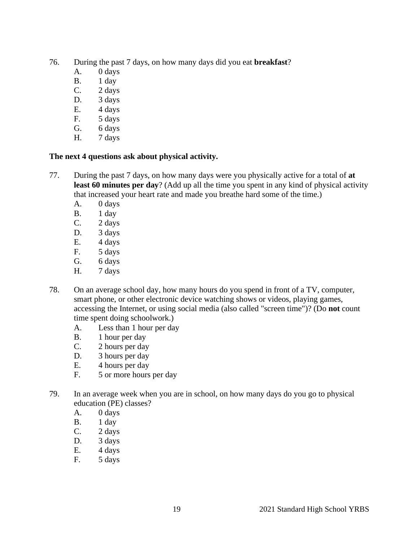- 76. During the past 7 days, on how many days did you eat **breakfast**?
	- A. 0 days
	- B. 1 day
	- C. 2 days
	- D. 3 days
	- E. 4 days
	- F. 5 days
	- G. 6 days
	- H. 7 days

# **The next 4 questions ask about physical activity.**

- 77. During the past 7 days, on how many days were you physically active for a total of **at least 60 minutes per day**? (Add up all the time you spent in any kind of physical activity that increased your heart rate and made you breathe hard some of the time.)
	- A. 0 days
	- B. 1 day
	- C. 2 days
	- D. 3 days<br>E. 4 days
	- E. 4 days
	- F. 5 days
	- G. 6 days
	- H. 7 days
- 78. On an average school day, how many hours do you spend in front of a TV, computer, smart phone, or other electronic device watching shows or videos, playing games, accessing the Internet, or using social media (also called "screen time")? (Do **not** count time spent doing schoolwork.)
	- A. Less than 1 hour per day
	- B. 1 hour per day
	- C. 2 hours per day
	- D. 3 hours per day
	- E. 4 hours per day
	- F. 5 or more hours per day
- 79. In an average week when you are in school, on how many days do you go to physical education (PE) classes?
	- A. 0 days
	- B. 1 day
	- C. 2 days
	- D. 3 days
	- E. 4 days
	- F. 5 days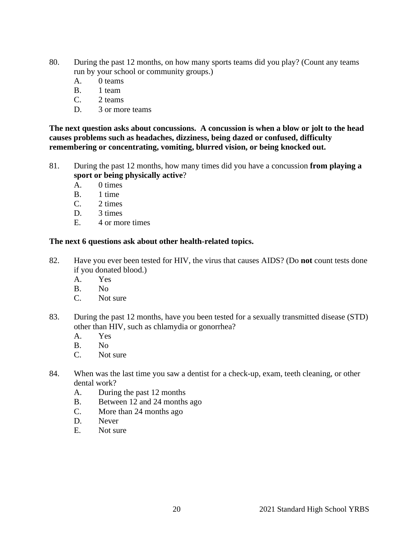- 80. During the past 12 months, on how many sports teams did you play? (Count any teams run by your school or community groups.)
	- A. 0 teams
	- B. 1 team
	- C. 2 teams
	- D. 3 or more teams

**The next question asks about concussions. A concussion is when a blow or jolt to the head causes problems such as headaches, dizziness, being dazed or confused, difficulty remembering or concentrating, vomiting, blurred vision, or being knocked out.**

- 81. During the past 12 months, how many times did you have a concussion **from playing a sport or being physically active**?
	- A. 0 times
	- B. 1 time
	- C. 2 times
	- D. 3 times
	- E. 4 or more times

# **The next 6 questions ask about other health-related topics.**

- 82. Have you ever been tested for HIV, the virus that causes AIDS? (Do **not** count tests done if you donated blood.)
	- A. Yes
	- B. No
	- C. Not sure
- 83. During the past 12 months, have you been tested for a sexually transmitted disease (STD) other than HIV, such as chlamydia or gonorrhea?
	- A. Yes
	- B. No
	- C. Not sure
- 84. When was the last time you saw a dentist for a check-up, exam, teeth cleaning, or other dental work?
	- A. During the past 12 months
	- B. Between 12 and 24 months ago
	- C. More than 24 months ago
	- D. Never
	- E. Not sure